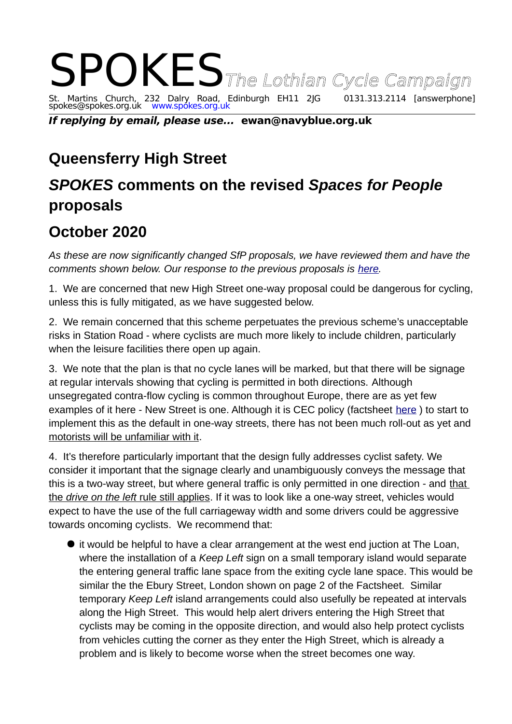## SPOKES The Lothian Cycle Campaign<br>St. Martins Church, 232 Dalry Road, Edinburgh EH11 2JG 0131.313.2114 [answerphone] St. Martins Church, 232 Dalry Road, Edinburgh EH11 2JG 0131.313.2114 [answerphone] spokes@spokes.org.uk www.spokes.org.uk

**If replying by email, please use... ewan@navyblue.org.uk**

## **Queensferry High Street**

## *SPOKES* **comments on the revised** *Spaces for People* **proposals**

## **October 2020**

*As these are now significantly changed SfP proposals, we have reviewed them and have the comments shown below. Our response to the previous proposals is [here.](http://www.spokes.org.uk/wp-content/uploads/2020/07/2007-Spokes-Response-to-Spaces-for-People-South-Queensferry-29-July-2020.pdf)* 

1. We are concerned that new High Street one-way proposal could be dangerous for cycling, unless this is fully mitigated, as we have suggested below.

2. We remain concerned that this scheme perpetuates the previous scheme's unacceptable risks in Station Road - where cyclists are much more likely to include children, particularly when the leisure facilities there open up again.

3. We note that the plan is that no cycle lanes will be marked, but that there will be signage at regular intervals showing that cycling is permitted in both directions. Although unsegregated contra-flow cycling is common throughout Europe, there are as yet few examples of it here - New Street is one. Although it is CEC policy (factsheet [here](https://www.edinburgh.gov.uk/downloads/file/24959/c5-contraflow-cycling) ) to start to implement this as the default in one-way streets, there has not been much roll-out as yet and motorists will be unfamiliar with it.

4. It's therefore particularly important that the design fully addresses cyclist safety. We consider it important that the signage clearly and unambiguously conveys the message that this is a two-way street, but where general traffic is only permitted in one direction - and that the *drive on the left* rule still applies. If it was to look like a one-way street, vehicles would expect to have the use of the full carriageway width and some drivers could be aggressive towards oncoming cyclists. We recommend that:

 it would be helpful to have a clear arrangement at the west end juction at The Loan, where the installation of a *Keep Left* sign on a small temporary island would separate the entering general traffic lane space from the exiting cycle lane space. This would be similar the the Ebury Street, London shown on page 2 of the Factsheet. Similar temporary *Keep Left* island arrangements could also usefully be repeated at intervals along the High Street. This would help alert drivers entering the High Street that cyclists may be coming in the opposite direction, and would also help protect cyclists from vehicles cutting the corner as they enter the High Street, which is already a problem and is likely to become worse when the street becomes one way.